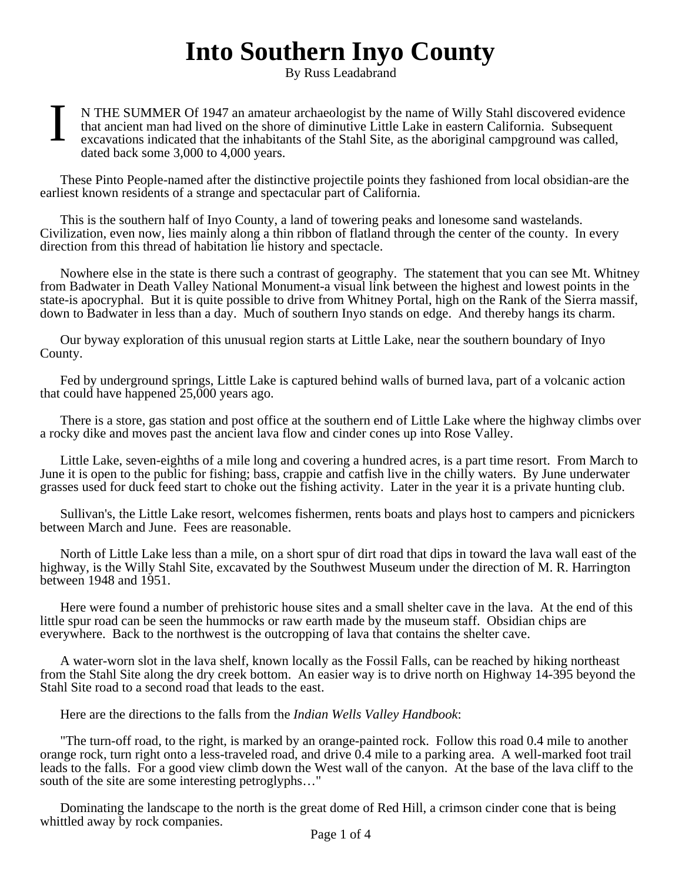## **Into Southern Inyo County**

By Russ Leadabrand

I N THE SUMMER Of 1947 an amateur archaeologist by the name of Willy Stahl discovered evidence that ancient man had lived on the shore of diminutive Little Lake in eastern California. Subsequent excavations indicated that the inhabitants of the Stahl Site, as the aboriginal campground was called, dated back some 3,000 to 4,000 years.

These Pinto People-named after the distinctive projectile points they fashioned from local obsidian-are the earliest known residents of a strange and spectacular part of California.

This is the southern half of Inyo County, a land of towering peaks and lonesome sand wastelands. Civilization, even now, lies mainly along a thin ribbon of flatland through the center of the county. In every direction from this thread of habitation lie history and spectacle.

Nowhere else in the state is there such a contrast of geography. The statement that you can see Mt. Whitney from Badwater in Death Valley National Monument-a visual link between the highest and lowest points in the state-is apocryphal. But it is quite possible to drive from Whitney Portal, high on the Rank of the Sierra massif, down to Badwater in less than a day. Much of southern Inyo stands on edge. And thereby hangs its charm.

Our byway exploration of this unusual region starts at Little Lake, near the southern boundary of Inyo County.

Fed by underground springs, Little Lake is captured behind walls of burned lava, part of a volcanic action that could have happened 25,000 years ago.

There is a store, gas station and post office at the southern end of Little Lake where the highway climbs over a rocky dike and moves past the ancient lava flow and cinder cones up into Rose Valley.

Little Lake, seven-eighths of a mile long and covering a hundred acres, is a part time resort. From March to June it is open to the public for fishing; bass, crappie and catfish live in the chilly waters. By June underwater grasses used for duck feed start to choke out the fishing activity. Later in the year it is a private hunting club.

Sullivan's, the Little Lake resort, welcomes fishermen, rents boats and plays host to campers and picnickers between March and June. Fees are reasonable.

North of Little Lake less than a mile, on a short spur of dirt road that dips in toward the lava wall east of the highway, is the Willy Stahl Site, excavated by the Southwest Museum under the direction of M. R. Harrington between 1948 and 1951.

Here were found a number of prehistoric house sites and a small shelter cave in the lava. At the end of this little spur road can be seen the hummocks or raw earth made by the museum staff. Obsidian chips are everywhere. Back to the northwest is the outcropping of lava that contains the shelter cave.

A water-worn slot in the lava shelf, known locally as the Fossil Falls, can be reached by hiking northeast from the Stahl Site along the dry creek bottom. An easier way is to drive north on Highway 14-395 beyond the Stahl Site road to a second road that leads to the east.

Here are the directions to the falls from the *Indian Wells Valley Handbook*:

"The turn-off road, to the right, is marked by an orange-painted rock. Follow this road 0.4 mile to another orange rock, turn right onto a less-traveled road, and drive 0.4 mile to a parking area. A well-marked foot trail leads to the falls. For a good view climb down the West wall of the canyon. At the base of the lava cliff to the south of the site are some interesting petroglyphs…"

Dominating the landscape to the north is the great dome of Red Hill, a crimson cinder cone that is being whittled away by rock companies.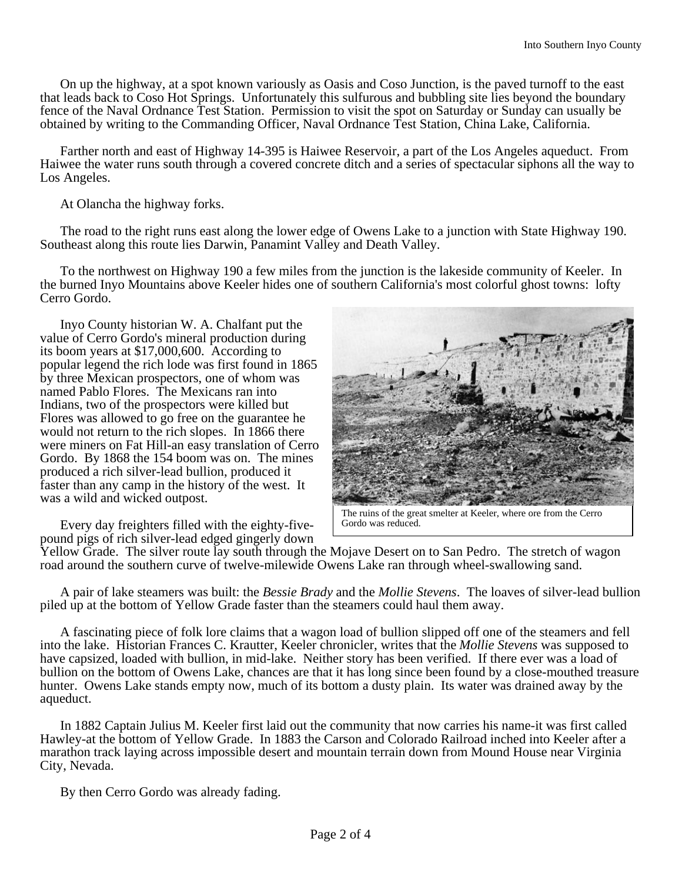On up the highway, at a spot known variously as Oasis and Coso Junction, is the paved turnoff to the east that leads back to Coso Hot Springs. Unfortunately this sulfurous and bubbling site lies beyond the boundary fence of the Naval Ordnance Test Station. Permission to visit the spot on Saturday or Sunday can usually be obtained by writing to the Commanding Officer, Naval Ordnance Test Station, China Lake, California.

Farther north and east of Highway 14-395 is Haiwee Reservoir, a part of the Los Angeles aqueduct. From Haiwee the water runs south through a covered concrete ditch and a series of spectacular siphons all the way to Los Angeles.

At Olancha the highway forks.

The road to the right runs east along the lower edge of Owens Lake to a junction with State Highway 190. Southeast along this route lies Darwin, Panamint Valley and Death Valley.

To the northwest on Highway 190 a few miles from the junction is the lakeside community of Keeler. In the burned Inyo Mountains above Keeler hides one of southern California's most colorful ghost towns: lofty Cerro Gordo.

Inyo County historian W. A. Chalfant put the value of Cerro Gordo's mineral production during its boom years at \$17,000,600. According to popular legend the rich lode was first found in 1865 by three Mexican prospectors, one of whom was named Pablo Flores. The Mexicans ran into Indians, two of the prospectors were killed but Flores was allowed to go free on the guarantee he would not return to the rich slopes. In 1866 there were miners on Fat Hill-an easy translation of Cerro Gordo. By 1868 the 154 boom was on. The mines produced a rich silver-lead bullion, produced it faster than any camp in the history of the west. It was a wild and wicked outpost.

Every day freighters filled with the eighty-fivepound pigs of rich silver-lead edged gingerly down

Yellow Grade. The silver route lay south through the Mojave Desert on to San Pedro. The stretch of wagon road around the southern curve of twelve-milewide Owens Lake ran through wheel-swallowing sand.

A pair of lake steamers was built: the *Bessie Brady* and the *Mollie Stevens*. The loaves of silver-lead bullion piled up at the bottom of Yellow Grade faster than the steamers could haul them away.

A fascinating piece of folk lore claims that a wagon load of bullion slipped off one of the steamers and fell into the lake. Historian Frances C. Krautter, Keeler chronicler, writes that the *Mollie Stevens* was supposed to have capsized, loaded with bullion, in mid-lake. Neither story has been verified. If there ever was a load of bullion on the bottom of Owens Lake, chances are that it has long since been found by a close-mouthed treasure hunter. Owens Lake stands empty now, much of its bottom a dusty plain. Its water was drained away by the aqueduct.

In 1882 Captain Julius M. Keeler first laid out the community that now carries his name-it was first called Hawley-at the bottom of Yellow Grade. In 1883 the Carson and Colorado Railroad inched into Keeler after a marathon track laying across impossible desert and mountain terrain down from Mound House near Virginia City, Nevada.

By then Cerro Gordo was already fading.

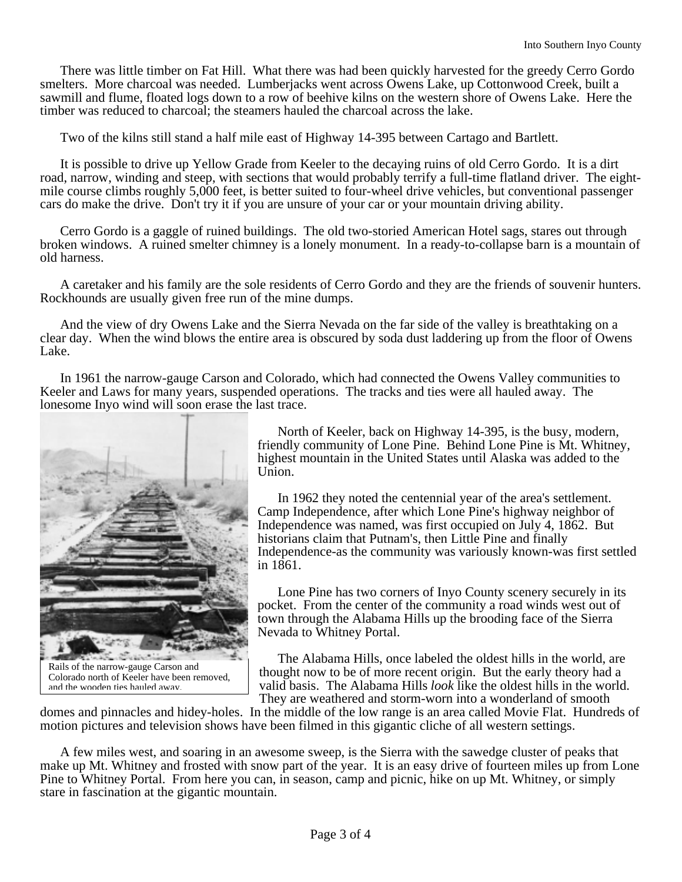There was little timber on Fat Hill. What there was had been quickly harvested for the greedy Cerro Gordo smelters. More charcoal was needed. Lumberjacks went across Owens Lake, up Cottonwood Creek, built a sawmill and flume, floated logs down to a row of beehive kilns on the western shore of Owens Lake. Here the timber was reduced to charcoal; the steamers hauled the charcoal across the lake.

Two of the kilns still stand a half mile east of Highway 14-395 between Cartago and Bartlett.

It is possible to drive up Yellow Grade from Keeler to the decaying ruins of old Cerro Gordo. It is a dirt road, narrow, winding and steep, with sections that would probably terrify a full-time flatland driver. The eightmile course climbs roughly 5,000 feet, is better suited to four-wheel drive vehicles, but conventional passenger cars do make the drive. Don't try it if you are unsure of your car or your mountain driving ability.

Cerro Gordo is a gaggle of ruined buildings. The old two-storied American Hotel sags, stares out through broken windows. A ruined smelter chimney is a lonely monument. In a ready-to-collapse barn is a mountain of old harness.

A caretaker and his family are the sole residents of Cerro Gordo and they are the friends of souvenir hunters. Rockhounds are usually given free run of the mine dumps.

And the view of dry Owens Lake and the Sierra Nevada on the far side of the valley is breathtaking on a clear day. When the wind blows the entire area is obscured by soda dust laddering up from the floor of Owens Lake.

In 1961 the narrow-gauge Carson and Colorado, which had connected the Owens Valley communities to Keeler and Laws for many years, suspended operations. The tracks and ties were all hauled away. The lonesome Inyo wind will soon erase the last trace.



North of Keeler, back on Highway 14-395, is the busy, modern, friendly community of Lone Pine. Behind Lone Pine is Mt. Whitney, highest mountain in the United States until Alaska was added to the Union.

In 1962 they noted the centennial year of the area's settlement. Camp Independence, after which Lone Pine's highway neighbor of Independence was named, was first occupied on July 4, 1862. But historians claim that Putnam's, then Little Pine and finally Independence-as the community was variously known-was first settled in 1861.

Lone Pine has two corners of Inyo County scenery securely in its pocket. From the center of the community a road winds west out of town through the Alabama Hills up the brooding face of the Sierra Nevada to Whitney Portal.

The Alabama Hills, once labeled the oldest hills in the world, are thought now to be of more recent origin. But the early theory had a valid basis. The Alabama Hills *look* like the oldest hills in the world. They are weathered and storm-worn into a wonderland of smooth

domes and pinnacles and hidey-holes. In the middle of the low range is an area called Movie Flat. Hundreds of motion pictures and television shows have been filmed in this gigantic cliche of all western settings.

A few miles west, and soaring in an awesome sweep, is the Sierra with the sawedge cluster of peaks that make up Mt. Whitney and frosted with snow part of the year. It is an easy drive of fourteen miles up from Lone Pine to Whitney Portal. From here you can, in season, camp and picnic, hike on up Mt. Whitney, or simply stare in fascination at the gigantic mountain.